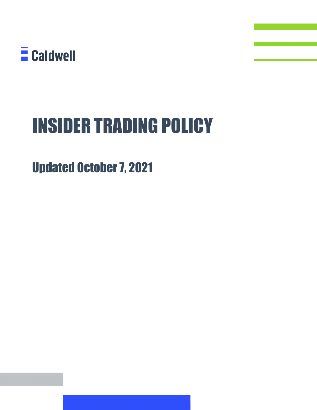

# INSIDER TRADING POLICY

## Updated October 7, 2021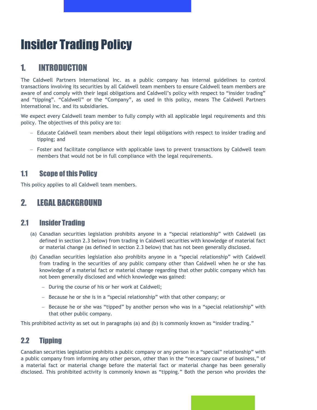## Insider Trading Policy

## 1. INTRODUCTION

The Caldwell Partners International Inc. as a public company has internal guidelines to control transactions involving its securities by all Caldwell team members to ensure Caldwell team members are aware of and comply with their legal obligations and Caldwell's policy with respect to "insider trading" and "tipping". "Caldwell" or the "Company", as used in this policy, means The Caldwell Partners International Inc. and its subsidiaries.

We expect every Caldwell team member to fully comply with all applicable legal requirements and this policy. The objectives of this policy are to:

- − Educate Caldwell team members about their legal obligations with respect to insider trading and tipping; and
- − Foster and facilitate compliance with applicable laws to prevent transactions by Caldwell team members that would not be in full compliance with the legal requirements.

## 1.1 Scope of this Policy

This policy applies to all Caldwell team members.

## 2. LEGAL BACKGROUND

## 2.1 Insider Trading

- (a) Canadian securities legislation prohibits anyone in a "special relationship" with Caldwell (as defined in section 2.3 below) from trading in Caldwell securities with knowledge of material fact or material change (as defined in section 2.3 below) that has not been generally disclosed.
- (b) Canadian securities legislation also prohibits anyone in a "special relationship" with Caldwell from trading in the securities of any public company other than Caldwell when he or she has knowledge of a material fact or material change regarding that other public company which has not been generally disclosed and which knowledge was gained:
	- − During the course of his or her work at Caldwell;
	- − Because he or she is in a "special relationship" with that other company; or
	- − Because he or she was "tipped" by another person who was in a "special relationship" with that other public company.

This prohibited activity as set out in paragraphs (a) and (b) is commonly known as "insider trading."

## 2.2 Tipping

Canadian securities legislation prohibits a public company or any person in a "special" relationship" with a public company from informing any other person, other than in the "necessary course of business," of a material fact or material change before the material fact or material change has been generally disclosed. This prohibited activity is commonly known as "tipping." Both the person who provides the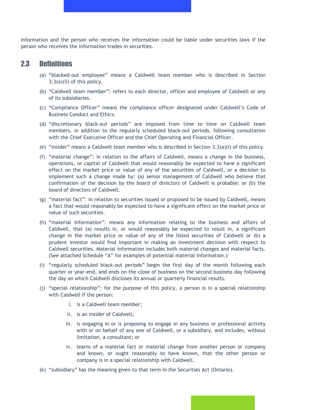information and the person who receives the information could be liable under securities laws if the person who receives the information trades in securities.

#### 2.3 Definitions

- (a) "blacked-out employee" means a Caldwell team member who is described in Section 3.3(a)(ii) of this policy.
- (b) "Caldwell team member": refers to each director, officer and employee of Caldwell or any of its subsidiaries.
- (c) "Compliance Officer" means the compliance officer designated under Caldwell's Code of Business Conduct and Ethics.
- (d) "discretionary black-out periods" are imposed from time to time on Caldwell team members, in addition to the regularly scheduled black-out periods, following consultation with the Chief Executive Officer and the Chief Operating and Financial Officer.
- (e) "insider" means a Caldwell team member who is described in Section 3.3(a)(i) of this policy.
- (f) "material change": in relation to the affairs of Caldwell, means a change in the business, operations, or capital of Caldwell that would reasonably be expected to have a significant effect on the market price or value of any of the securities of Caldwell, or a decision to implement such a change made by: (a) senior management of Caldwell who believe that confirmation of the decision by the board of directors of Caldwell is probable; or (b) the board of directors of Caldwell.
- (g) "material fact": in relation to securities issued or proposed to be issued by Caldwell, means a fact that would reasonably be expected to have a significant effect on the market price or value of such securities.
- (h) "material information": means any information relating to the business and affairs of Caldwell, that (a) results in, or would reasonably be expected to result in, a significant change in the market price or value of any of the listed securities of Caldwell or (b) a prudent investor would find important in making an investment decision with respect to Caldwell securities. Material information includes both material changes and material facts. (See attached Schedule "A" for examples of potential material information.)
- (i) "regularly scheduled black-out periods" begin the first day of the month following each quarter or year-end, and ends on the close of business on the second business day following the day on which Caldwell discloses its annual or quarterly financial results.
- (j) "special relationship": for the purpose of this policy, a person is in a special relationship with Caldwell if the person:
	- i. is a Caldwell team member;
	- ii. is an insider of Caldwell;
	- iii. is engaging in or is proposing to engage in any business or professional activity with or on behalf of any one of Caldwell, or a subsidiary, and includes, without limitation, a consultant; or
	- iv. learns of a material fact or material change from another person or company and knows, or ought reasonably to have known, that the other person or company is in a special relationship with Caldwell.
- (k) "subsidiary" has the meaning given to that term in the Securities Act (Ontario).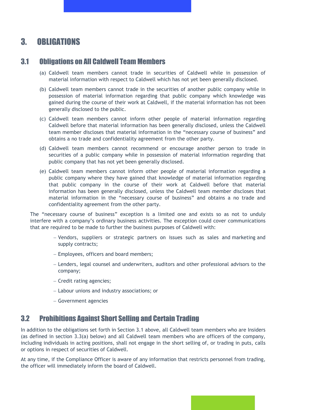## 3. OBLIGATIONS

#### 3.1 Obligations on All Caldwell Team Members

- (a) Caldwell team members cannot trade in securities of Caldwell while in possession of material information with respect to Caldwell which has not yet been generally disclosed.
- (b) Caldwell team members cannot trade in the securities of another public company while in possession of material information regarding that public company which knowledge was gained during the course of their work at Caldwell, if the material information has not been generally disclosed to the public.
- (c) Caldwell team members cannot inform other people of material information regarding Caldwell before that material information has been generally disclosed, unless the Caldwell team member discloses that material information in the "necessary course of business" and obtains a no trade and confidentiality agreement from the other party.
- (d) Caldwell team members cannot recommend or encourage another person to trade in securities of a public company while in possession of material information regarding that public company that has not yet been generally disclosed.
- (e) Caldwell team members cannot inform other people of material information regarding a public company where they have gained that knowledge of material information regarding that public company in the course of their work at Caldwell before that material information has been generally disclosed, unless the Caldwell team member discloses that material information in the "necessary course of business" and obtains a no trade and confidentiality agreement from the other party.

The "necessary course of business" exception is a limited one and exists so as not to unduly interfere with a company's ordinary business activities. The exception could cover communications that are required to be made to further the business purposes of Caldwell with:

- − Vendors, suppliers or strategic partners on issues such as sales and marketing and supply contracts;
- − Employees, officers and board members;
- − Lenders, legal counsel and underwriters, auditors and other professional advisors to the company;
- − Credit rating agencies;
- − Labour unions and industry associations; or
- − Government agencies

## 3.2 Prohibitions Against Short Selling and Certain Trading

In addition to the obligations set forth in Section 3.1 above, all Caldwell team members who are Insiders (as defined in section 3.3(a) below) and all Caldwell team members who are officers of the company, including individuals in acting positions, shall not engage in the short selling of, or trading in puts, calls or options in respect of securities of Caldwell.

At any time, if the Compliance Officer is aware of any information that restricts personnel from trading, the officer will immediately inform the board of Caldwell.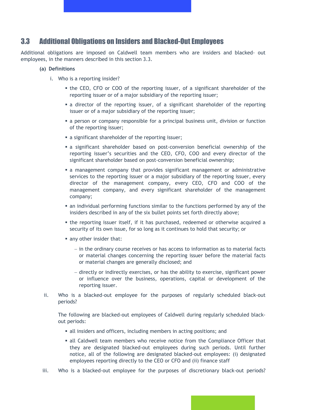#### 3.3 Additional Obligations on Insiders and Blacked-Out Employees

Additional obligations are imposed on Caldwell team members who are insiders and blacked- out employees, in the manners described in this section 3.3.

#### **(a) Definitions**

- i. Who is a reporting insider?
	- the CEO, CFO or COO of the reporting issuer, of a significant shareholder of the reporting issuer or of a major subsidiary of the reporting issuer;
	- a director of the reporting issuer, of a significant shareholder of the reporting issuer or of a major subsidiary of the reporting issuer;
	- a person or company responsible for a principal business unit, division or function of the reporting issuer;
	- a significant shareholder of the reporting issuer;
	- a significant shareholder based on post-conversion beneficial ownership of the reporting issuer's securities and the CEO, CFO, COO and every director of the significant shareholder based on post-conversion beneficial ownership;
	- a management company that provides significant management or administrative services to the reporting issuer or a major subsidiary of the reporting issuer, every director of the management company, every CEO, CFO and COO of the management company, and every significant shareholder of the management company;
	- an individual performing functions similar to the functions performed by any of the insiders described in any of the six bullet points set forth directly above;
	- the reporting issuer itself, if it has purchased, redeemed or otherwise acquired a security of its own issue, for so long as it continues to hold that security; or
	- any other insider that:
		- − in the ordinary course receives or has access to information as to material facts or material changes concerning the reporting issuer before the material facts or material changes are generally disclosed; and
		- − directly or indirectly exercises, or has the ability to exercise, significant power or influence over the business, operations, capital or development of the reporting issuer.
- ii. Who is a blacked-out employee for the purposes of regularly scheduled black-out periods?

The following are blacked-out employees of Caldwell during regularly scheduled blackout periods:

- all insiders and officers, including members in acting positions; and
- all Caldwell team members who receive notice from the Compliance Officer that they are designated blacked-out employees during such periods. Until further notice, all of the following are designated blacked-out employees: (i) designated employees reporting directly to the CEO or CFO and (ii) finance staff
- iii. Who is a blacked-out employee for the purposes of discretionary black-out periods?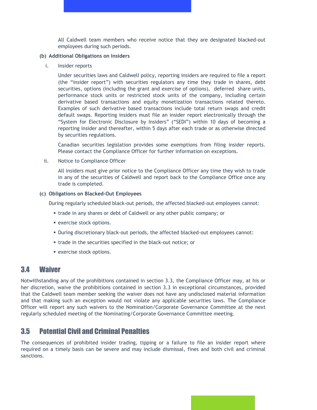All Caldwell team members who receive notice that they are designated blacked-out employees during such periods.

#### **(b) Additional Obligations on Insiders**

i. Insider reports

Under securities laws and Caldwell policy, reporting insiders are required to file a report (the "insider report") with securities regulators any time they trade in shares, debt securities, options (including the grant and exercise of options), deferred share units, performance stock units or restricted stock units of the company, including certain derivative based transactions and equity monetization transactions related thereto. Examples of such derivative based transactions include total return swaps and credit default swaps. Reporting insiders must file an insider report electronically through the "System for Electronic Disclosure by Insiders" ("SEDI") within 10 days of becoming a reporting insider and thereafter, within 5 days after each trade or as otherwise directed by securities regulations.

Canadian securities legislation provides some exemptions from filing insider reports. Please contact the Compliance Officer for further information on exceptions.

ii. Notice to Compliance Officer

All insiders must give prior notice to the Compliance Officer any time they wish to trade in any of the securities of Caldwell and report back to the Compliance Office once any trade is completed.

#### **(c) Obligations on Blacked-Out Employees**

During regularly scheduled black-out periods, the affected blacked-out employees cannot:

- trade in any shares or debt of Caldwell or any other public company; or
- exercise stock options.
- During discretionary black-out periods, the affected blacked-out employees cannot:
- trade in the securities specified in the black-out notice; or
- exercise stock options.

#### 3.4 Waiver

Notwithstanding any of the prohibitions contained in section 3.3, the Compliance Officer may, at his or her discretion, waive the prohibitions contained in section 3.3 in exceptional circumstances, provided that the Caldwell team member seeking the waiver does not have any undisclosed material information and that making such an exception would not violate any applicable securities laws. The Compliance Officer will report any such waivers to the Nomination/Corporate Governance Committee at the next regularly scheduled meeting of the Nominating/Corporate Governance Committee meeting.

## 3.5 Potential Civil and Criminal Penalties

The consequences of prohibited insider trading, tipping or a failure to file an insider report where required on a timely basis can be severe and may include dismissal, fines and both civil and criminal sanctions.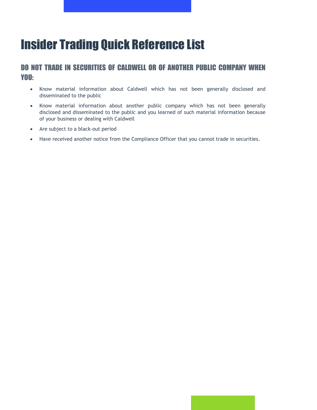## Insider Trading Quick Reference List

## DO NOT TRADE IN SECURITIES OF CALDWELL OR OF ANOTHER PUBLIC COMPANY WHEN YOU:

- Know material information about Caldwell which has not been generally disclosed and disseminated to the public
- Know material information about another public company which has not been generally disclosed and disseminated to the public and you learned of such material information because of your business or dealing with Caldwell
- Are subject to a black-out period
- Have received another notice from the Compliance Officer that you cannot trade in securities.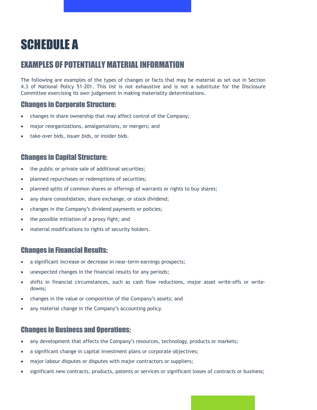## SCHEDULE A

## EXAMPLES OF POTENTIALLY MATERIAL INFORMATION

The following are examples of the types of changes or facts that may be material as set out in Section 4.3 of National Policy 51-201. This list is not exhaustive and is not a substitute for the Disclosure Committee exercising its own judgement in making materiality determinations.

### Changes in Corporate Structure:

- changes in share ownership that may affect control of the Company;
- major reorganizations, amalgamations, or mergers; and
- take-over bids, issuer bids, or insider bids.

### Changes in Capital Structure:

- the public or private sale of additional securities;
- planned repurchases or redemptions of securities;
- planned splits of common shares or offerings of warrants or rights to buy shares;
- any share consolidation, share exchange, or stock dividend;
- changes in the Company's dividend payments or policies;
- the possible initiation of a proxy fight; and
- material modifications to rights of security holders.

#### Changes in Financial Results:

- a significant increase or decrease in near-term earnings prospects;
- unexpected changes in the financial results for any periods;
- shifts in financial circumstances, such as cash flow reductions, major asset write-offs or writedowns;
- changes in the value or composition of the Company's assets; and
- any material change in the Company's accounting policy.

#### Changes in Business and Operations:

- any development that affects the Company's resources, technology, products or markets;
- a significant change in capital investment plans or corporate objectives;
- major labour disputes or disputes with major contractors or suppliers;
- significant new contracts, products, patents or services or significant losses of contracts or business;